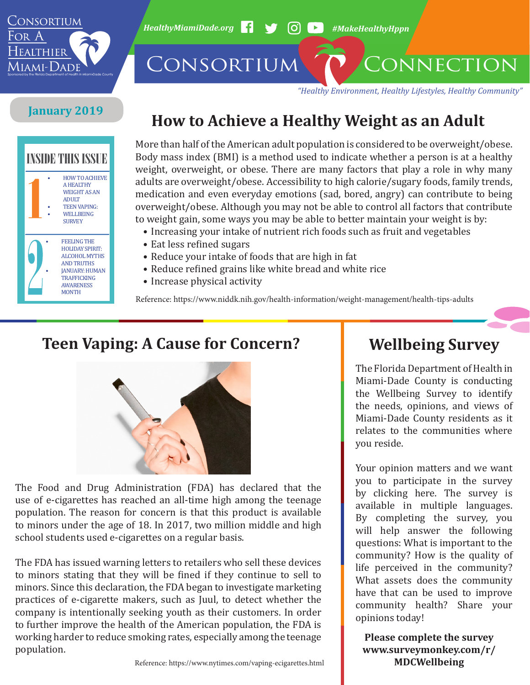

*HealthyMiamiDade.org* <sup>1</sup> → 60 → #MakeHealthyHppn

CONSORTIUM CONNECTION

*"Healthy Environment, Healthy Lifestyles, Healthy Community"*

#### **January 2019**



## **How to Achieve a Healthy Weight as an Adult**

More than half of the American adult population is considered to be overweight/obese. Body mass index (BMI) is a method used to indicate whether a person is at a healthy weight, overweight, or obese. There are many factors that play a role in why many adults are overweight/obese. Accessibility to high calorie/sugary foods, family trends, medication and even everyday emotions (sad, bored, angry) can contribute to being overweight/obese. Although you may not be able to control all factors that contribute to weight gain, some ways you may be able to better maintain your weight is by:

- Increasing your intake of nutrient rich foods such as fruit and vegetables
- Eat less refined sugars
- Reduce your intake of foods that are high in fat
- Reduce refined grains like white bread and white rice
- Increase physical activity

Reference: https://www.niddk.nih.gov/health-information/weight-management/health-tips-adults

### **Teen Vaping: A Cause for Concern?**



The Food and Drug Administration (FDA) has declared that the use of e-cigarettes has reached an all-time high among the teenage population. The reason for concern is that this product is available to minors under the age of 18. In 2017, two million middle and high school students used e-cigarettes on a regular basis.

The FDA has issued warning letters to retailers who sell these devices to minors stating that they will be fined if they continue to sell to minors. Since this declaration, the FDA began to investigate marketing practices of e-cigarette makers, such as Juul, to detect whether the company is intentionally seeking youth as their customers. In order to further improve the health of the American population, the FDA is working harder to reduce smoking rates, especially among the teenage population.

### **Wellbeing Survey**

The Florida Department of Health in Miami-Dade County is conducting the Wellbeing Survey to identify the needs, opinions, and views of Miami-Dade County residents as it relates to the communities where you reside.

Your opinion matters and we want you to participate in the survey by [clicking here.](https://www.surveymonkey.com/r/mdcwellbeing) The survey is available in multiple languages. By completing the survey, you will help answer the following questions: What is important to the community? How is the quality of life perceived in the community? What assets does the community have that can be used to improve community health? Share your opinions today!

**Please complete the survey [www.surveymonkey.com/r/](http://www.surveymonkey.com/r/MDCWellbeing) [MDCWellbeing](http://www.surveymonkey.com/r/MDCWellbeing)**